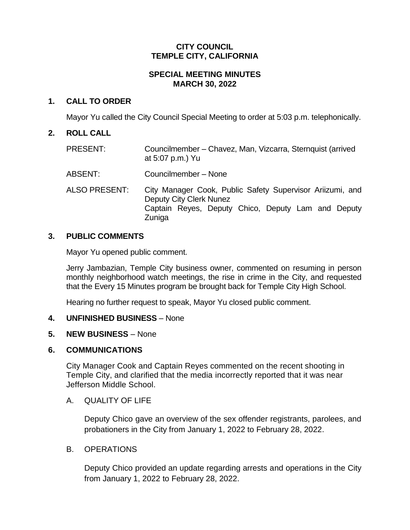### **CITY COUNCIL TEMPLE CITY, CALIFORNIA**

## **SPECIAL MEETING MINUTES MARCH 30, 2022**

## **1. CALL TO ORDER**

Mayor Yu called the City Council Special Meeting to order at 5:03 p.m. telephonically.

## **2. ROLL CALL**

- PRESENT: Councilmember Chavez, Man, Vizcarra, Sternquist (arrived at 5:07 p.m.) Yu
- ABSENT: Councilmember None
- ALSO PRESENT: City Manager Cook, Public Safety Supervisor Ariizumi, and Deputy City Clerk Nunez Captain Reyes, Deputy Chico, Deputy Lam and Deputy Zuniga

## **3. PUBLIC COMMENTS**

Mayor Yu opened public comment.

Jerry Jambazian, Temple City business owner, commented on resuming in person monthly neighborhood watch meetings, the rise in crime in the City, and requested that the Every 15 Minutes program be brought back for Temple City High School.

Hearing no further request to speak, Mayor Yu closed public comment.

#### **4. UNFINISHED BUSINESS** – None

#### **5. NEW BUSINESS** – None

#### **6. COMMUNICATIONS**

City Manager Cook and Captain Reyes commented on the recent shooting in Temple City, and clarified that the media incorrectly reported that it was near Jefferson Middle School.

#### A. QUALITY OF LIFE

Deputy Chico gave an overview of the sex offender registrants, parolees, and probationers in the City from January 1, 2022 to February 28, 2022.

#### B. OPERATIONS

Deputy Chico provided an update regarding arrests and operations in the City from January 1, 2022 to February 28, 2022.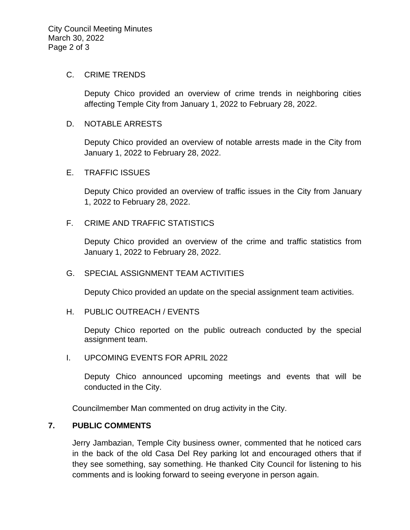#### C. CRIME TRENDS

Deputy Chico provided an overview of crime trends in neighboring cities affecting Temple City from January 1, 2022 to February 28, 2022.

#### D. NOTABLE ARRESTS

Deputy Chico provided an overview of notable arrests made in the City from January 1, 2022 to February 28, 2022.

#### E. TRAFFIC ISSUES

Deputy Chico provided an overview of traffic issues in the City from January 1, 2022 to February 28, 2022.

#### F. CRIME AND TRAFFIC STATISTICS

Deputy Chico provided an overview of the crime and traffic statistics from January 1, 2022 to February 28, 2022.

#### G. SPECIAL ASSIGNMENT TEAM ACTIVITIES

Deputy Chico provided an update on the special assignment team activities.

#### H. PUBLIC OUTREACH / EVENTS

Deputy Chico reported on the public outreach conducted by the special assignment team.

I. UPCOMING EVENTS FOR APRIL 2022

Deputy Chico announced upcoming meetings and events that will be conducted in the City.

Councilmember Man commented on drug activity in the City.

#### **7. PUBLIC COMMENTS**

Jerry Jambazian, Temple City business owner, commented that he noticed cars in the back of the old Casa Del Rey parking lot and encouraged others that if they see something, say something. He thanked City Council for listening to his comments and is looking forward to seeing everyone in person again.